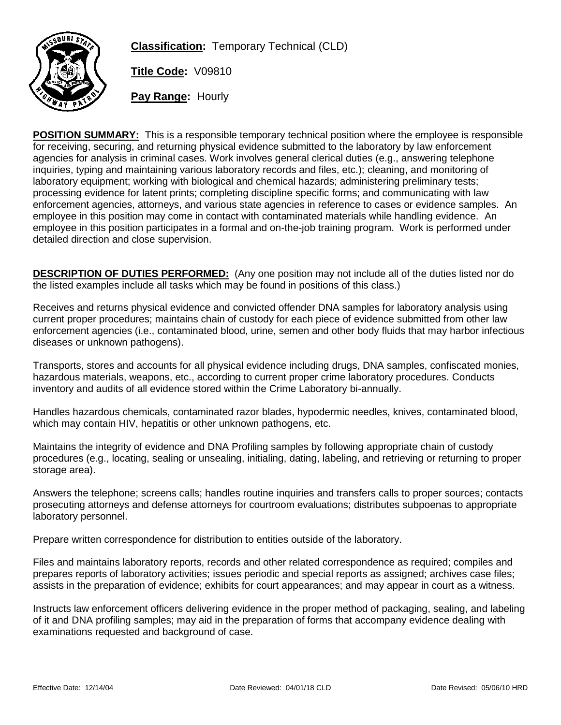

**Classification:** Temporary Technical (CLD)

**Title Code:** V09810

**Pay Range:** Hourly

**POSITION SUMMARY:** This is a responsible temporary technical position where the employee is responsible for receiving, securing, and returning physical evidence submitted to the laboratory by law enforcement agencies for analysis in criminal cases. Work involves general clerical duties (e.g., answering telephone inquiries, typing and maintaining various laboratory records and files, etc.); cleaning, and monitoring of laboratory equipment; working with biological and chemical hazards; administering preliminary tests; processing evidence for latent prints; completing discipline specific forms; and communicating with law enforcement agencies, attorneys, and various state agencies in reference to cases or evidence samples. An employee in this position may come in contact with contaminated materials while handling evidence. An employee in this position participates in a formal and on-the-job training program. Work is performed under detailed direction and close supervision.

**DESCRIPTION OF DUTIES PERFORMED:** (Any one position may not include all of the duties listed nor do the listed examples include all tasks which may be found in positions of this class.)

Receives and returns physical evidence and convicted offender DNA samples for laboratory analysis using current proper procedures; maintains chain of custody for each piece of evidence submitted from other law enforcement agencies (i.e., contaminated blood, urine, semen and other body fluids that may harbor infectious diseases or unknown pathogens).

Transports, stores and accounts for all physical evidence including drugs, DNA samples, confiscated monies, hazardous materials, weapons, etc., according to current proper crime laboratory procedures. Conducts inventory and audits of all evidence stored within the Crime Laboratory bi-annually.

Handles hazardous chemicals, contaminated razor blades, hypodermic needles, knives, contaminated blood, which may contain HIV, hepatitis or other unknown pathogens, etc.

Maintains the integrity of evidence and DNA Profiling samples by following appropriate chain of custody procedures (e.g., locating, sealing or unsealing, initialing, dating, labeling, and retrieving or returning to proper storage area).

Answers the telephone; screens calls; handles routine inquiries and transfers calls to proper sources; contacts prosecuting attorneys and defense attorneys for courtroom evaluations; distributes subpoenas to appropriate laboratory personnel.

Prepare written correspondence for distribution to entities outside of the laboratory.

Files and maintains laboratory reports, records and other related correspondence as required; compiles and prepares reports of laboratory activities; issues periodic and special reports as assigned; archives case files; assists in the preparation of evidence; exhibits for court appearances; and may appear in court as a witness.

Instructs law enforcement officers delivering evidence in the proper method of packaging, sealing, and labeling of it and DNA profiling samples; may aid in the preparation of forms that accompany evidence dealing with examinations requested and background of case.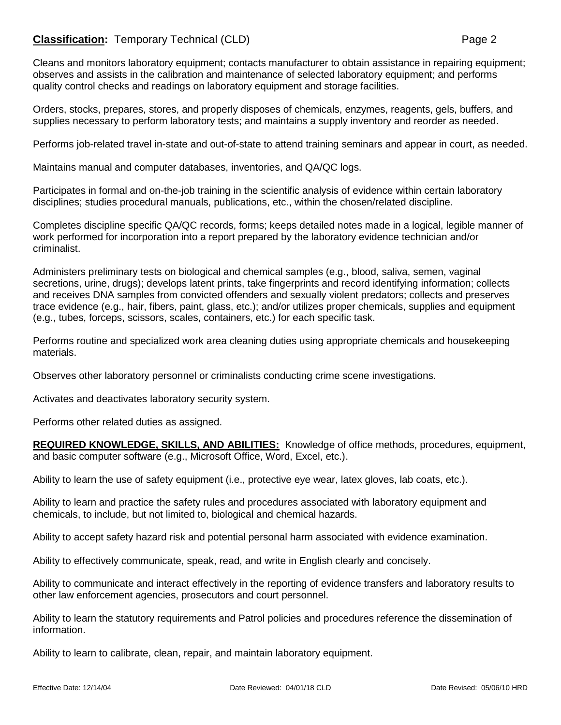## **Classification:** Temporary Technical (CLD) **Page 2** Page 2

Cleans and monitors laboratory equipment; contacts manufacturer to obtain assistance in repairing equipment; observes and assists in the calibration and maintenance of selected laboratory equipment; and performs quality control checks and readings on laboratory equipment and storage facilities.

Orders, stocks, prepares, stores, and properly disposes of chemicals, enzymes, reagents, gels, buffers, and supplies necessary to perform laboratory tests; and maintains a supply inventory and reorder as needed.

Performs job-related travel in-state and out-of-state to attend training seminars and appear in court, as needed.

Maintains manual and computer databases, inventories, and QA/QC logs.

Participates in formal and on-the-job training in the scientific analysis of evidence within certain laboratory disciplines; studies procedural manuals, publications, etc., within the chosen/related discipline.

Completes discipline specific QA/QC records, forms; keeps detailed notes made in a logical, legible manner of work performed for incorporation into a report prepared by the laboratory evidence technician and/or criminalist.

Administers preliminary tests on biological and chemical samples (e.g., blood, saliva, semen, vaginal secretions, urine, drugs); develops latent prints, take fingerprints and record identifying information; collects and receives DNA samples from convicted offenders and sexually violent predators; collects and preserves trace evidence (e.g., hair, fibers, paint, glass, etc.); and/or utilizes proper chemicals, supplies and equipment (e.g., tubes, forceps, scissors, scales, containers, etc.) for each specific task.

Performs routine and specialized work area cleaning duties using appropriate chemicals and housekeeping materials.

Observes other laboratory personnel or criminalists conducting crime scene investigations.

Activates and deactivates laboratory security system.

Performs other related duties as assigned.

**REQUIRED KNOWLEDGE, SKILLS, AND ABILITIES:** Knowledge of office methods, procedures, equipment, and basic computer software (e.g., Microsoft Office, Word, Excel, etc.).

Ability to learn the use of safety equipment (i.e., protective eye wear, latex gloves, lab coats, etc.).

Ability to learn and practice the safety rules and procedures associated with laboratory equipment and chemicals, to include, but not limited to, biological and chemical hazards.

Ability to accept safety hazard risk and potential personal harm associated with evidence examination.

Ability to effectively communicate, speak, read, and write in English clearly and concisely.

Ability to communicate and interact effectively in the reporting of evidence transfers and laboratory results to other law enforcement agencies, prosecutors and court personnel.

Ability to learn the statutory requirements and Patrol policies and procedures reference the dissemination of information.

Ability to learn to calibrate, clean, repair, and maintain laboratory equipment.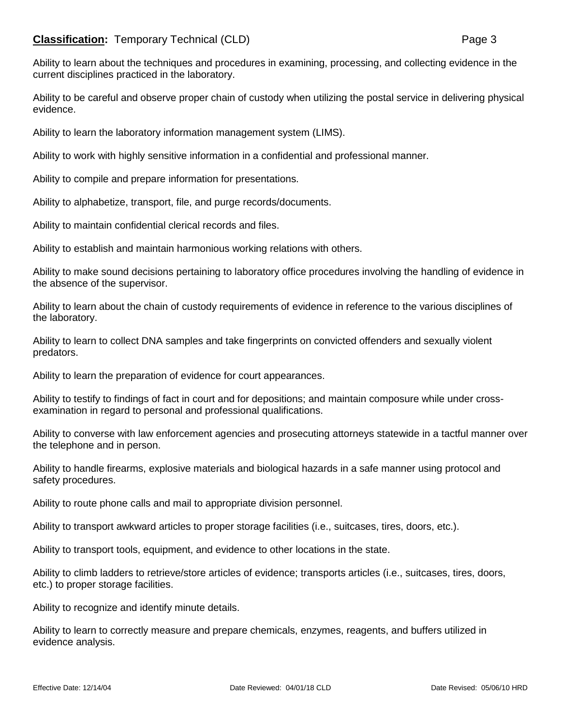## **Classification:** Temporary Technical (CLD) **Page 3**

Ability to learn about the techniques and procedures in examining, processing, and collecting evidence in the current disciplines practiced in the laboratory.

Ability to be careful and observe proper chain of custody when utilizing the postal service in delivering physical evidence.

Ability to learn the laboratory information management system (LIMS).

Ability to work with highly sensitive information in a confidential and professional manner.

Ability to compile and prepare information for presentations.

Ability to alphabetize, transport, file, and purge records/documents.

Ability to maintain confidential clerical records and files.

Ability to establish and maintain harmonious working relations with others.

Ability to make sound decisions pertaining to laboratory office procedures involving the handling of evidence in the absence of the supervisor.

Ability to learn about the chain of custody requirements of evidence in reference to the various disciplines of the laboratory.

Ability to learn to collect DNA samples and take fingerprints on convicted offenders and sexually violent predators.

Ability to learn the preparation of evidence for court appearances.

Ability to testify to findings of fact in court and for depositions; and maintain composure while under crossexamination in regard to personal and professional qualifications.

Ability to converse with law enforcement agencies and prosecuting attorneys statewide in a tactful manner over the telephone and in person.

Ability to handle firearms, explosive materials and biological hazards in a safe manner using protocol and safety procedures.

Ability to route phone calls and mail to appropriate division personnel.

Ability to transport awkward articles to proper storage facilities (i.e., suitcases, tires, doors, etc.).

Ability to transport tools, equipment, and evidence to other locations in the state.

Ability to climb ladders to retrieve/store articles of evidence; transports articles (i.e., suitcases, tires, doors, etc.) to proper storage facilities.

Ability to recognize and identify minute details.

Ability to learn to correctly measure and prepare chemicals, enzymes, reagents, and buffers utilized in evidence analysis.